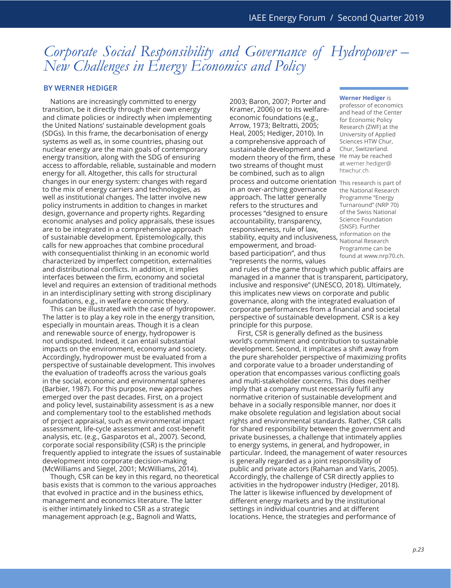## *Corporate Social Responsibility and Governance of Hydropower – New Challenges in Energy Economics and Policy*

## **By Werner Hediger**

Nations are increasingly committed to energy transition, be it directly through their own energy and climate policies or indirectly when implementing the United Nations' sustainable development goals (SDGs). In this frame, the decarbonisation of energy systems as well as, in some countries, phasing out nuclear energy are the main goals of contemporary energy transition, along with the SDG of ensuring access to affordable, reliable, sustainable and modern energy for all. Altogether, this calls for structural changes in our energy system: changes with regard to the mix of energy carriers and technologies, as well as institutional changes. The latter involve new policy instruments in addition to changes in market design, governance and property rights. Regarding economic analyses and policy appraisals, these issues are to be integrated in a comprehensive approach of sustainable development. Epistemologically, this calls for new approaches that combine procedural with consequentialist thinking in an economic world characterized by imperfect competition, externalities and distributional conflicts. In addition, it implies interfaces between the firm, economy and societal level and requires an extension of traditional methods in an interdisciplinary setting with strong disciplinary foundations, e.g., in welfare economic theory.

This can be illustrated with the case of hydropower. The latter is to play a key role in the energy transition, especially in mountain areas. Though it is a clean and renewable source of energy, hydropower is not undisputed. Indeed, it can entail substantial impacts on the environment, economy and society. Accordingly, hydropower must be evaluated from a perspective of sustainable development. This involves the evaluation of tradeoffs across the various goals in the social, economic and environmental spheres (Barbier, 1987). For this purpose, new approaches emerged over the past decades. First, on a project and policy level, sustainability assessment is as a new and complementary tool to the established methods of project appraisal, such as environmental impact assessment, life-cycle assessment and cost-benefit analysis, etc. (e.g., Gasparotos et al., 2007). Second, corporate social responsibility (CSR) is the principle frequently applied to integrate the issues of sustainable development into corporate decision-making (McWilliams and Siegel, 2001; McWilliams, 2014).

Though, CSR can be key in this regard, no theoretical basis exists that is common to the various approaches that evolved in practice and in the business ethics, management and economics literature. The latter is either intimately linked to CSR as a strategic management approach (e.g., Bagnoli and Watts,

2003; Baron, 2007; Porter and Kramer, 2006) or to its welfareeconomic foundations (e.g., Arrow, 1973; Beltratti, 2005; Heal, 2005; Hediger, 2010). In a comprehensive approach of sustainable development and a modern theory of the firm, these two streams of thought must be combined, such as to align process and outcome orientation This research is part of in an over-arching governance approach. The latter generally refers to the structures and processes "designed to ensure accountability, transparency, responsiveness, rule of law, stability, equity and inclusiveness, empowerment, and broadbased participation", and thus "represents the norms, values

## **Werner Hediger** is

professor of economics and head of the Center for Economic Policy Research (ZWF) at the University of Applied Sciences HTW Chur, Chur, Switzerland. He may be reached at werner.hediger@ htwchur.ch.

the National Research Programme "Energy Turnaround" (NRP 70) of the Swiss National Science Foundation (SNSF). Further information on the National Research Programme can be found at www.nrp70.ch.

and rules of the game through which public affairs are managed in a manner that is transparent, participatory, inclusive and responsive" (UNESCO, 2018). Ultimately, this implicates new views on corporate and public governance, along with the integrated evaluation of corporate performances from a financial and societal perspective of sustainable development. CSR is a key principle for this purpose.

First, CSR is generally defined as the business world's commitment and contribution to sustainable development. Second, it implicates a shift away from the pure shareholder perspective of maximizing profits and corporate value to a broader understanding of operation that encompasses various conflicting goals and multi-stakeholder concerns. This does neither imply that a company must necessarily fulfil any normative criterion of sustainable development and behave in a socially responsible manner, nor does it make obsolete regulation and legislation about social rights and environmental standards. Rather, CSR calls for shared responsibility between the government and private businesses, a challenge that intimately applies to energy systems, in general, and hydropower, in particular. Indeed, the management of water resources is generally regarded as a joint responsibility of public and private actors (Rahaman and Varis, 2005). Accordingly, the challenge of CSR directly applies to activities in the hydropower industry (Hediger, 2018). The latter is likewise influenced by development of different energy markets and by the institutional settings in individual countries and at different locations. Hence, the strategies and performance of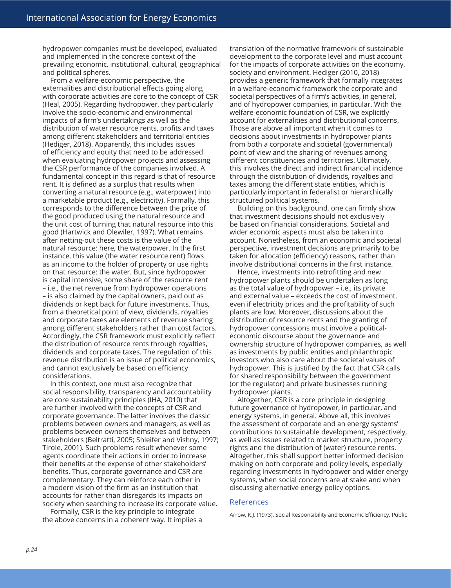hydropower companies must be developed, evaluated and implemented in the concrete context of the prevailing economic, institutional, cultural, geographical and political spheres.

From a welfare-economic perspective, the externalities and distributional effects going along with corporate activities are core to the concept of CSR (Heal, 2005). Regarding hydropower, they particularly involve the socio-economic and environmental impacts of a firm's undertakings as well as the distribution of water resource rents, profits and taxes among different stakeholders and territorial entities (Hediger, 2018). Apparently, this includes issues of efficiency and equity that need to be addressed when evaluating hydropower projects and assessing the CSR performance of the companies involved. A fundamental concept in this regard is that of resource rent. It is defined as a surplus that results when converting a natural resource (e.g., waterpower) into a marketable product (e.g., electricity). Formally, this corresponds to the difference between the price of the good produced using the natural resource and the unit cost of turning that natural resource into this good (Hartwick and Olewiler, 1997). What remains after netting-out these costs is the value of the natural resource: here, the waterpower. In the first instance, this value (the water resource rent) flows as an income to the holder of property or use rights on that resource: the water. But, since hydropower is capital intensive, some share of the resource rent – i.e., the net revenue from hydropower operations – is also claimed by the capital owners, paid out as dividends or kept back for future investments. Thus, from a theoretical point of view, dividends, royalties and corporate taxes are elements of revenue sharing among different stakeholders rather than cost factors. Accordingly, the CSR framework must explicitly reflect the distribution of resource rents through royalties, dividends and corporate taxes. The regulation of this revenue distribution is an issue of political economics, and cannot exclusively be based on efficiency considerations.

In this context, one must also recognize that social responsibility, transparency and accountability are core sustainability principles (IHA, 2010) that are further involved with the concepts of CSR and corporate governance. The latter involves the classic problems between owners and managers, as well as problems between owners themselves and between stakeholders (Beltratti, 2005; Shleifer and Vishny, 1997; Tirole, 2001). Such problems result whenever some agents coordinate their actions in order to increase their benefits at the expense of other stakeholders' benefits. Thus, corporate governance and CSR are complementary. They can reinforce each other in a modern vision of the firm as an institution that accounts for rather than disregards its impacts on society when searching to increase its corporate value.

Formally, CSR is the key principle to integrate the above concerns in a coherent way. It implies a

translation of the normative framework of sustainable development to the corporate level and must account for the impacts of corporate activities on the economy, society and environment. Hediger (2010, 2018) provides a generic framework that formally integrates in a welfare-economic framework the corporate and societal perspectives of a firm's activities, in general, and of hydropower companies, in particular. With the welfare-economic foundation of CSR, we explicitly account for externalities and distributional concerns. Those are above all important when it comes to decisions about investments in hydropower plants from both a corporate and societal (governmental) point of view and the sharing of revenues among different constituencies and territories. Ultimately, this involves the direct and indirect financial incidence through the distribution of dividends, royalties and taxes among the different state entities, which is particularly important in federalist or hierarchically structured political systems.

Building on this background, one can firmly show that investment decisions should not exclusively be based on financial considerations. Societal and wider economic aspects must also be taken into account. Nonetheless, from an economic and societal perspective, investment decisions are primarily to be taken for allocation (efficiency) reasons, rather than involve distributional concerns in the first instance.

Hence, investments into retrofitting and new hydropower plants should be undertaken as long as the total value of hydropower – i.e., its private and external value – exceeds the cost of investment, even if electricity prices and the profitability of such plants are low. Moreover, discussions about the distribution of resource rents and the granting of hydropower concessions must involve a politicaleconomic discourse about the governance and ownership structure of hydropower companies, as well as investments by public entities and philanthropic investors who also care about the societal values of hydropower. This is justified by the fact that CSR calls for shared responsibility between the government (or the regulator) and private businesses running hydropower plants.

Altogether, CSR is a core principle in designing future governance of hydropower, in particular, and energy systems, in general. Above all, this involves the assessment of corporate and an energy systems' contributions to sustainable development, respectively, as well as issues related to market structure, property rights and the distribution of (water) resource rents. Altogether, this shall support better informed decision making on both corporate and policy levels, especially regarding investments in hydropower and wider energy systems, when social concerns are at stake and when discussing alternative energy policy options.

## References

Arrow, K.J. (1973). Social Responsibility and Economic Efficiency. Public